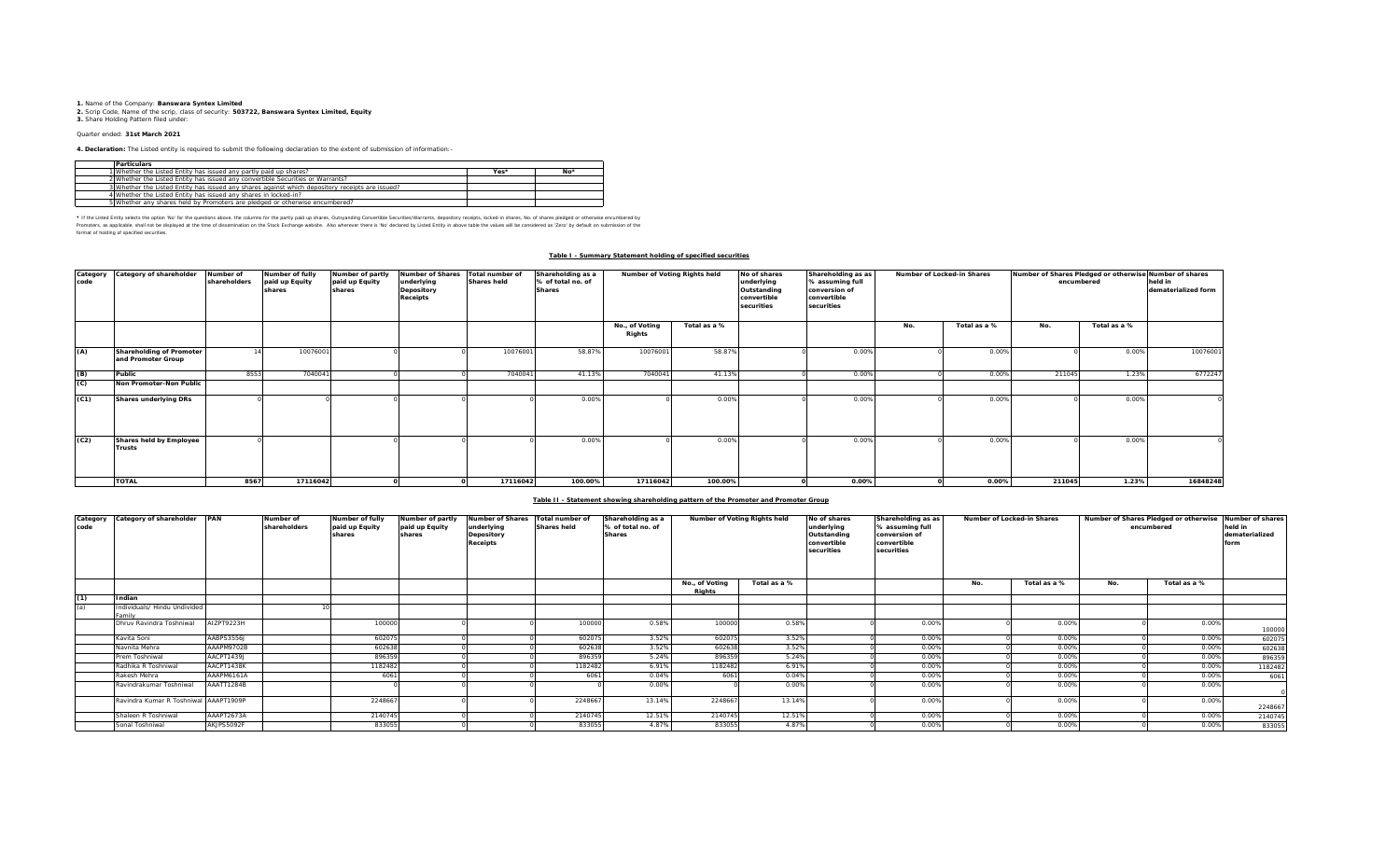**1.** Name of the Company: **Banswara Syntex Limited**<br>2. Scrip Code, Name of the scrip, class of security: **503722, Banswara Syntex Limited, Equity**<br>**3.** Share Holding Pattern filed under:

# Quarter ended: **31st March 2021**

**4. Declaration:** The Listed entity is required to submit the following declaration to the extent of submission of information:-

| <b>Particulars</b>                                                                              |      |       |
|-------------------------------------------------------------------------------------------------|------|-------|
| 1 Whether the Listed Entity has issued any partly paid up shares?                               | Yes* | $No*$ |
| 2 Whether the Listed Entity has issued any convertible Securities or Warrants?                  |      |       |
| 3 Whether the Listed Entity has issued any shares against which depository receipts are issued? |      |       |
| 4 Whether the Listed Entity has issued any shares in locked-in?                                 |      |       |
| 5 Whether any shares held by Promoters are pledged or otherwise encumbered?                     |      |       |

\* If ne Listed Ently selects ine opton War for the equasitons above, the outwars for the partly share, Quityandng Convertible Securities/Warrants, depository receipts, boked-in shares, No. of shares predget or otherwise in format of holding of specified securities.

## **Table I - Summary Statement holding of specified securities**

| Category<br>code | Category of shareholder                        | Number of<br>shareholders | Number of fully<br>paid up Equity<br>shares | Number of partly<br>paid up Equity<br>shares | <b>Number of Shares</b><br>underlying<br>Depository<br><b>Receipts</b> | Total number of<br><b>Shares held</b> | Shareholding as a<br>% of total no. of<br><b>Shares</b> | Number of Voting Rights held |              | Shareholding as as<br>No of shares<br>% assuming full<br>underlying<br>Outstanding<br>conversion of<br>convertible<br>convertible<br>securities<br>securities |          | Number of Locked-in Shares |              | Number of Shares Pledged or otherwise Number of shares<br>encumbered | held in<br>dematerialized form |          |
|------------------|------------------------------------------------|---------------------------|---------------------------------------------|----------------------------------------------|------------------------------------------------------------------------|---------------------------------------|---------------------------------------------------------|------------------------------|--------------|---------------------------------------------------------------------------------------------------------------------------------------------------------------|----------|----------------------------|--------------|----------------------------------------------------------------------|--------------------------------|----------|
|                  |                                                |                           |                                             |                                              |                                                                        |                                       |                                                         | No., of Voting<br>Rights     | Total as a % |                                                                                                                                                               |          | No.                        | Total as a % | No.                                                                  | Total as a %                   |          |
| (A)              | Shareholding of Promoter<br>and Promoter Group |                           | 10076001                                    |                                              |                                                                        | 10076001                              | 58.87%                                                  | 10076001                     | 58.87%       |                                                                                                                                                               | 0.00%    |                            | 0.00%        |                                                                      | 0.00%                          | 10076001 |
| (B)              | Public                                         | 8553                      | 704004                                      |                                              |                                                                        | 7040041                               | 41.13%                                                  | 704004                       | 41.13%       |                                                                                                                                                               | 0.00%    |                            | 0.00%        | 211045                                                               | 1.23%                          | 6772247  |
| (C)              | Non Promoter-Non Public                        |                           |                                             |                                              |                                                                        |                                       |                                                         |                              |              |                                                                                                                                                               |          |                            |              |                                                                      |                                |          |
| (C1)             | <b>Shares underlying DRs</b>                   |                           |                                             |                                              |                                                                        |                                       | 0.00%                                                   |                              | 0.00%        |                                                                                                                                                               | 0.00%    |                            | 0.00%        |                                                                      | 0.00%                          |          |
| (C2)             | Shares held by Employee<br><b>Trusts</b>       |                           |                                             |                                              |                                                                        |                                       | 0.009                                                   |                              | 0.00%        |                                                                                                                                                               | 0.00%    |                            | 0.00%        |                                                                      | 0.00%                          |          |
|                  | <b>TOTAL</b>                                   | 8567                      | 17116042                                    |                                              |                                                                        | 17116042                              | 100.00%                                                 | 17116042                     | 100.00%      |                                                                                                                                                               | $0.00\%$ |                            | 0.00%        | 211045                                                               | 1.23%                          | 16848248 |

### **Table II - Statement showing shareholding pattern of the Promoter and Promoter Group**

| code | Category Category of shareholder PAN   |            | Number of<br>shareholders | <b>Number of fully</b><br>paid up Equity<br>shares | Number of partly<br>paid up Equity<br>shares | Number of Shares Total number of<br>underlying<br>Depository<br>Receipts | <b>Shares held</b> | Shareholding as a<br>% of total no. of<br><b>Shares</b> | Number of Voting Rights held |              | No of shares<br>underlying<br>Outstanding<br>convertible<br>securities | Shareholding as as<br>% assuming full<br>conversion of<br>convertible<br>securities |     | Number of Locked-in Shares |     | Number of Shares Pledged or otherwise Number of shares<br>encumbered | held in<br>dematerialized<br>form |
|------|----------------------------------------|------------|---------------------------|----------------------------------------------------|----------------------------------------------|--------------------------------------------------------------------------|--------------------|---------------------------------------------------------|------------------------------|--------------|------------------------------------------------------------------------|-------------------------------------------------------------------------------------|-----|----------------------------|-----|----------------------------------------------------------------------|-----------------------------------|
|      |                                        |            |                           |                                                    |                                              |                                                                          |                    |                                                         | No., of Voting<br>Rights     | Total as a % |                                                                        |                                                                                     | No. | Total as a %               | No. | Total as a %                                                         |                                   |
| (1)  | Indian                                 |            |                           |                                                    |                                              |                                                                          |                    |                                                         |                              |              |                                                                        |                                                                                     |     |                            |     |                                                                      |                                   |
| (a)  | Individuals/ Hindu Undivided<br>Family |            |                           |                                                    |                                              |                                                                          |                    |                                                         |                              |              |                                                                        |                                                                                     |     |                            |     |                                                                      |                                   |
|      | Dhruv Ravindra Toshniwal               | AIZPT9223H |                           | 100000                                             |                                              |                                                                          | 100000             | 0.58%                                                   | 100000                       | 0.58%        |                                                                        | 0.00%                                                                               |     | 0.00%                      |     | 0.00%                                                                | 100000                            |
|      | Kavita Soni                            | AABPS3556J |                           | 602075                                             |                                              |                                                                          | 602075             | 3.52%                                                   | 602075                       | 3.52%        |                                                                        | 0.00%                                                                               |     | 0.00%                      |     | 0.00%                                                                | 602075                            |
|      | Navnita Mehra                          | AAAPM9702B |                           | 602638                                             |                                              |                                                                          | 60263              | 3.52%                                                   | 602638                       | 3.52%        |                                                                        | 0.00%                                                                               |     | 0.00%                      |     | 0.00%                                                                | 602638                            |
|      | Prem Toshniwal                         | AACPT1439J |                           | 896359                                             |                                              |                                                                          | 896359             | 5.24%                                                   | 896359                       | 5.24%        |                                                                        | 0.00%                                                                               |     | 0.00%                      |     | 0.00%                                                                | 896359                            |
|      | Radhika R Toshniwal                    | AACPT1438K |                           | 1182482                                            |                                              |                                                                          | 1182482            | 6.91%                                                   | 1182482                      | 6.91%        |                                                                        | 0.00%                                                                               |     | 0.00%                      |     | 0.00%                                                                | 1182482                           |
|      | Rakesh Mehra                           | AAAPM6161A |                           | 6061                                               |                                              |                                                                          | 6061               | 0.04%                                                   | 6061                         | 0.04%        |                                                                        | 0.00%                                                                               |     | 0.00%                      |     | 0.00%                                                                | 6061                              |
|      | Ravindrakumar Toshniwal                | AAATT1284B |                           |                                                    |                                              |                                                                          |                    | 0.00%                                                   |                              | 0.00%        |                                                                        | 0.00%                                                                               |     | 0.00%                      |     | 0.00%                                                                |                                   |
|      | Ravindra Kumar R Toshniwal AAAPT1909P  |            |                           | 2248667                                            |                                              |                                                                          | 224866             | 13.14%                                                  | 2248667                      | 13.14%       |                                                                        | 0.00%                                                                               |     | 0.00%                      |     | 0.00%                                                                | 2248667                           |
|      | Shaleen R Toshniwal                    | AAAPT2673A |                           | 2140745                                            |                                              |                                                                          | 2140745            | 12.51%                                                  | 2140745                      | 12.51%       |                                                                        | 0.00%                                                                               |     | 0.00%                      |     | 0.00%                                                                | 2140745                           |
|      | Sonal Toshniwal                        | AKJPS5092F |                           | 833055                                             |                                              |                                                                          | 833055             | 4.87%                                                   | 833055                       | 4.87%        |                                                                        | 0.00%                                                                               |     | 0.00%                      |     | 0.00%                                                                | 833055                            |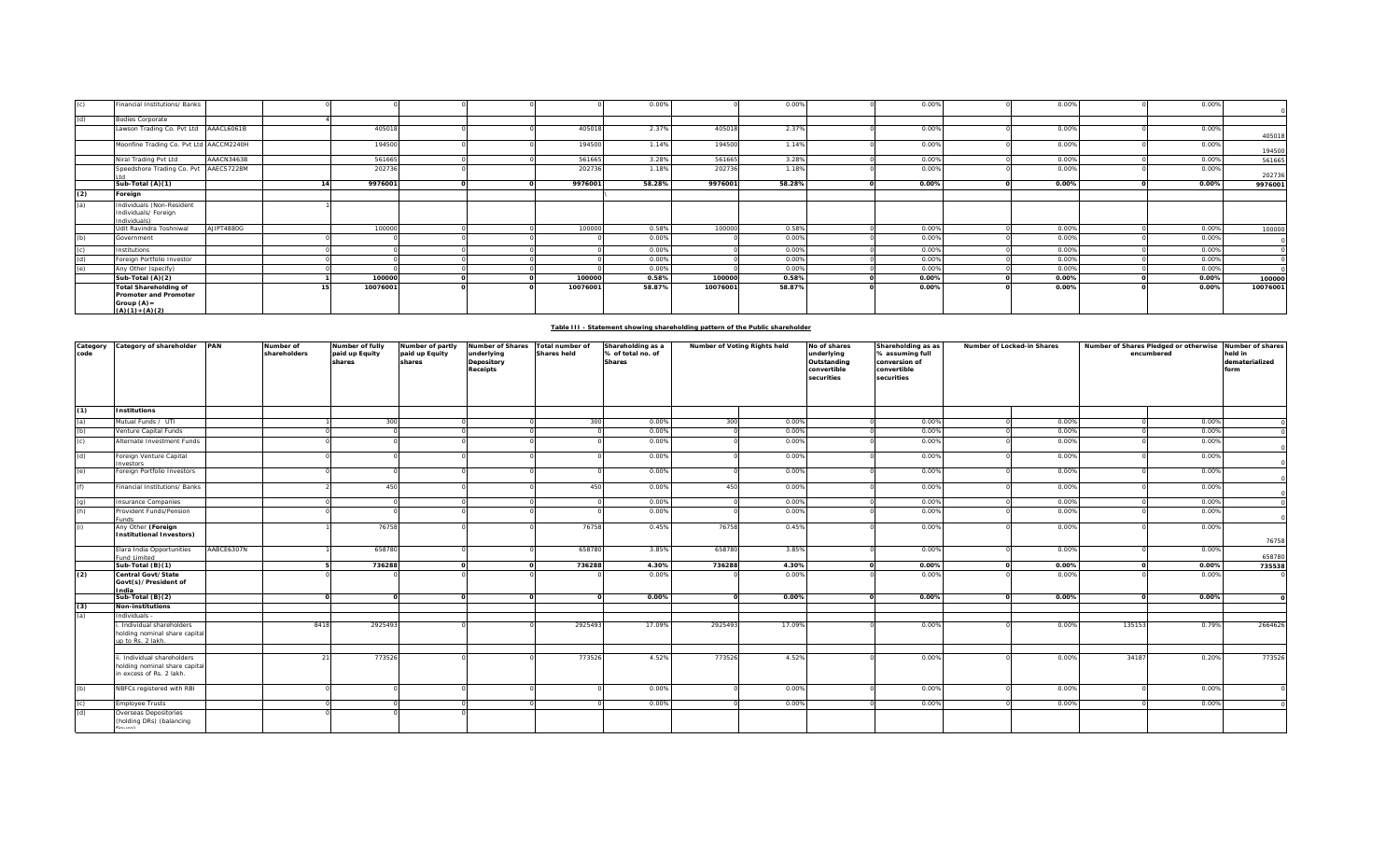|     | Financial Institutions/ Banks                                                                      |            |          |  |          | 0.00%  |          | 0.00%  | 0.00% | 0.00% | 0.00% |          |
|-----|----------------------------------------------------------------------------------------------------|------------|----------|--|----------|--------|----------|--------|-------|-------|-------|----------|
| (d) | <b>Bodies Corporate</b>                                                                            |            |          |  |          |        |          |        |       |       |       |          |
|     | Lawson Trading Co. Pvt Ltd AAACL6061B                                                              |            | 405018   |  | 405018   | 2.37%  | 405018   | 2.37%  | 0.00% | 0.00% | 0.00% | 405018   |
|     | Moonfine Trading Co. Pvt Ltd AACCM2240H                                                            |            | 194500   |  | 194500   | 1.14%  | 194500   | 1.14%  | 0.00% | 0.00% | 0.00% | 194500   |
|     | Niral Trading Pvt Ltd                                                                              | AAACN3463B | 561665   |  | 561665   | 3.28%  | 561665   | 3.28%  | 0.00% | 0.00% | 0.00% | 561665   |
|     | Speedshore Trading Co. Pvt AAECS7228M                                                              |            | 202736   |  | 202736   | 1.18%  | 202736   | 1.18%  | 0.00% | 0.00% | 0.00% | 202736   |
|     | Sub-Total (A)(1)                                                                                   |            | 9976001  |  | 9976001  | 58.28% | 9976001  | 58.28% | 0.00% | 0.00% | 0.00% | 9976001  |
| (2) | Foreign                                                                                            |            |          |  |          |        |          |        |       |       |       |          |
| (a) | Individuals (Non-Resident<br>Individuals/ Foreign<br>Individuals)                                  |            |          |  |          |        |          |        |       |       |       |          |
|     | Udit Ravindra Toshniwal                                                                            | AJIPT4880G | 100000   |  | 100000   | 0.58%  | 100000   | 0.58%  | 0.00% | 0.00% | 0.00% | 100000   |
| (b) | Government                                                                                         |            |          |  |          | 0.00%  |          | 0.00%  | 0.00% | 0.00% | 0.00% |          |
|     | Institutions                                                                                       |            |          |  |          | 0.00%  |          | 0.00%  | 0.00% | 0.00% | 0.00% |          |
| (d) | Foreign Portfolio Investor                                                                         |            |          |  |          | 0.00%  |          | 0.00%  | 0.00% | 0.00% | 0.00% |          |
| (e) | Any Other (specify)                                                                                |            |          |  |          | 0.00%  |          | 0.00%  | 0.00% | 0.00% | 0.00% |          |
|     | Sub-Total (A)(2)                                                                                   |            | 100000   |  | 100000   | 0.58%  | 100000   | 0.58%  | 0.00% | 0.00% | 0.00% | 100000   |
|     | <b>Total Shareholding of</b><br><b>Promoter and Promoter</b><br>Group $(A)$ =<br>$(A)(1) + (A)(2)$ |            | 10076001 |  | 10076001 | 58.87% | 10076001 | 58.87% | 0.00% | 0.00% | 0.00% | 10076001 |

|  | Table III - Statement showing shareholding pattern of the Public shareholder |  |
|--|------------------------------------------------------------------------------|--|
|  |                                                                              |  |

| Category<br>code | Category of shareholder PAN                                                             |            | Number of<br>Number of fully<br>shareholders<br>paid up Equity |        | Number of partly<br>paid up Equity<br>shares | Number of Shares<br>underlying<br>Depository<br>Receipts | Total number of<br><b>Shares held</b> | Shareholding as a<br>% of total no. of<br><b>Shares</b> | Number of Voting Rights held |        | No of shares<br>underlying<br>Outstanding<br>convertible<br>securities | Shareholding as as<br>% assuming full<br>conversion of<br>convertible<br>securities | Number of Locked-in Shares |                 | Number of Shares Pledged or otherwise Number of shares<br>encumbered | held in<br>dematerialized<br>form |
|------------------|-----------------------------------------------------------------------------------------|------------|----------------------------------------------------------------|--------|----------------------------------------------|----------------------------------------------------------|---------------------------------------|---------------------------------------------------------|------------------------------|--------|------------------------------------------------------------------------|-------------------------------------------------------------------------------------|----------------------------|-----------------|----------------------------------------------------------------------|-----------------------------------|
| (1)              | <b>Institutions</b>                                                                     |            |                                                                |        |                                              |                                                          |                                       |                                                         |                              |        |                                                                        |                                                                                     |                            |                 |                                                                      |                                   |
| (a)              | Mutual Funds / UTI                                                                      |            |                                                                | 300    |                                              |                                                          | 300                                   | 0.00%                                                   | 300                          | 0.00%  |                                                                        | 0.00%                                                                               |                            | 0.00%           | 0.00%                                                                |                                   |
| (b)              | Venture Capital Funds                                                                   |            |                                                                |        |                                              |                                                          |                                       | 0.00%                                                   |                              | 0.00%  |                                                                        | 0.00%                                                                               |                            | 0.00%           | 0.00%                                                                |                                   |
| (c)              | Alternate Investment Funds                                                              |            |                                                                |        |                                              |                                                          |                                       | 0.00%                                                   |                              | 0.00%  |                                                                        | 0.00%                                                                               |                            | 0.00%           | 0.00%                                                                |                                   |
| (d)              | Foreign Venture Capital<br>nvestors                                                     |            |                                                                |        |                                              |                                                          |                                       | 0.00%                                                   |                              | 0.00%  |                                                                        | 0.00%                                                                               |                            | 0.00%           | 0.00%                                                                |                                   |
| (e)              | Foreign Portfolio Investors                                                             |            |                                                                |        |                                              |                                                          |                                       | 0.00%                                                   |                              | 0.00%  |                                                                        | 0.00%                                                                               |                            | 0.00%           | 0.00%                                                                |                                   |
| (f)              | Financial Institutions/ Banks                                                           |            |                                                                | 450    |                                              |                                                          | 450                                   | 0.00%                                                   | 450                          | 0.00%  |                                                                        | 0.00%                                                                               |                            | 0.00%           | 0.00%                                                                |                                   |
| (q)              | nsurance Companies                                                                      |            |                                                                |        |                                              |                                                          |                                       | 0.00%                                                   |                              | 0.00%  |                                                                        | 0.00%                                                                               |                            | 0.00%           | 0.00%                                                                |                                   |
| (h)              | Provident Funds/Pension<br>unds                                                         |            |                                                                |        |                                              |                                                          |                                       | 0.00%                                                   |                              | 0.00%  |                                                                        | 0.00%                                                                               |                            | 0.00%           | 0.00%                                                                |                                   |
| (i)              | Any Other (Foreign<br>nstitutional Investors)                                           |            |                                                                | 76758  |                                              |                                                          | 76758                                 | 0.45%                                                   | 76758                        | 0.45%  |                                                                        | 0.00%                                                                               |                            | 0.00%           | 0.00%                                                                | 76758                             |
|                  | Elara India Opportunities<br>und Limited                                                | AABCE6307N |                                                                | 658780 |                                              |                                                          | 658780                                | 3.85%                                                   | 658780                       | 3.85%  |                                                                        | 0.00%                                                                               |                            | 0.00%           | 0.00%                                                                | 658780                            |
|                  | Sub-Total (B)(1)                                                                        |            |                                                                | 736288 |                                              |                                                          | 736288                                | 4.30%                                                   | 736288                       | 4.30%  |                                                                        | 0.00%                                                                               |                            | 0.00%           | 0.00%                                                                | 735538                            |
| (2)              | Central Govt/State<br>Govt(s)/President of<br>India                                     |            |                                                                |        |                                              |                                                          |                                       | 0.00%                                                   |                              | 0.00%  |                                                                        | 0.00%                                                                               |                            | 0.00%           | 0.00%                                                                |                                   |
|                  | Sub-Total (B)(2)                                                                        |            |                                                                |        |                                              |                                                          | $\Omega$                              | 0.00%                                                   | $\Omega$                     | 0.00%  |                                                                        | 0.00%                                                                               |                            | 0.00%           | 0.00%                                                                |                                   |
| (3)              | <b>Non-institutions</b>                                                                 |            |                                                                |        |                                              |                                                          |                                       |                                                         |                              |        |                                                                        |                                                                                     |                            |                 |                                                                      |                                   |
| (a)              | Individuals -                                                                           |            |                                                                |        |                                              |                                                          |                                       |                                                         |                              |        |                                                                        |                                                                                     |                            |                 |                                                                      |                                   |
|                  | Individual shareholders<br>holding nominal share capital<br>up to Rs. 2 lakh.           |            | 8418                                                           | 292549 |                                              |                                                          | 2925493                               | 17.09%                                                  | 2925493                      | 17.09% |                                                                        | 0.00%                                                                               |                            | 135153<br>0.00% | 0.79%                                                                | 2664626                           |
|                  |                                                                                         |            |                                                                |        |                                              |                                                          |                                       |                                                         |                              |        |                                                                        |                                                                                     |                            |                 |                                                                      |                                   |
|                  | i. Individual shareholders<br>holding nominal share capital<br>in excess of Rs. 2 lakh. |            |                                                                | 773526 |                                              |                                                          | 773526                                | 4.52%                                                   | 773526                       | 4.52%  |                                                                        | 0.00%                                                                               |                            | 0.00%<br>34187  | 0.20%                                                                | 773526                            |
| (b)              | NBFCs registered with RBI                                                               |            |                                                                |        |                                              |                                                          |                                       | 0.00%                                                   |                              | 0.00%  |                                                                        | 0.00%                                                                               |                            | 0.00%           | 0.00%                                                                |                                   |
| (c)              | <b>Employee Trusts</b>                                                                  |            |                                                                |        |                                              |                                                          |                                       | 0.00%                                                   |                              | 0.00%  |                                                                        | 0.00%                                                                               |                            | 0.00%           | 0.00%                                                                |                                   |
| (d)              | Overseas Depositories<br>(holding DRs) (balancing                                       |            |                                                                |        |                                              |                                                          |                                       |                                                         |                              |        |                                                                        |                                                                                     |                            |                 |                                                                      |                                   |